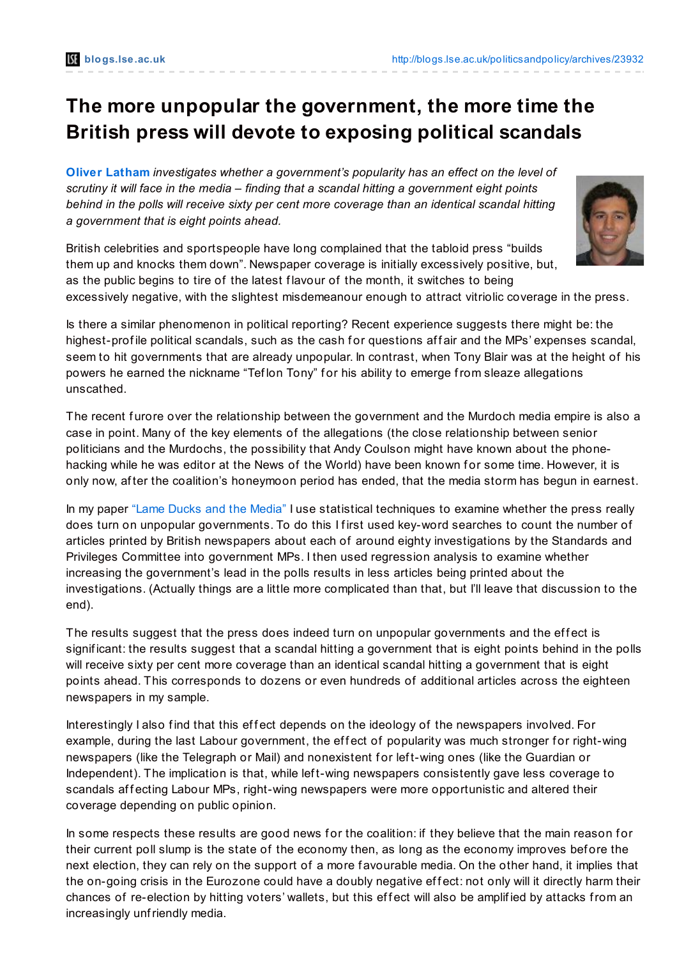## **The more unpopular the government, the more time the British press will devote to exposing political scandals**

**Oliver [Latham](http://blogs.lse.ac.uk/politicsandpolicy/?p=23932#Author)** *investigates whether a government's popularity has an effect on the level of scrutiny it will face in the media – finding that a scandal hitting a government eight points behind in the polls will receive sixty per cent more coverage than an identical scandal hitting a government that is eight points ahead.*



British celebrities and sportspeople have long complained that the tabloid press "builds them up and knocks them down". Newspaper coverage is initially excessively positive, but, as the public begins to tire of the latest flavour of the month, it switches to being excessively negative, with the slightest misdemeanour enough to attract vitriolic coverage in the press.

Is there a similar phenomenon in political reporting? Recent experience suggests there might be: the highest-profile political scandals, such as the cash for questions affair and the MPs' expenses scandal, seem to hit governments that are already unpopular. In contrast, when Tony Blair was at the height of his powers he earned the nickname "Teflon Tony" for his ability to emerge from sleaze allegations unscathed.

The recent furore over the relationship between the government and the Murdoch media empire is also a case in point. Many of the key elements of the allegations (the close relationship between senior politicians and the Murdochs, the possibility that Andy Coulson might have known about the phonehacking while he was editor at the News of the World) have been known for some time. However, it is only now, af ter the coalition's honeymoon period has ended, that the media storm has begun in earnest.

In my paper "Lame Ducks and the [Media"](http://www.econ.cam.ac.uk/postgrad/oml24/papers/Lame-Ducks-Oliver-Latham.pdf) I use statistical techniques to examine whether the press really does turn on unpopular governments. To do this I first used key-word searches to count the number of articles printed by British newspapers about each of around eighty investigations by the Standards and Privileges Committee into government MPs. I then used regression analysis to examine whether increasing the government's lead in the polls results in less articles being printed about the investigations. (Actually things are a little more complicated than that, but I'll leave that discussion to the end).

The results suggest that the press does indeed turn on unpopular governments and the effect is signif icant: the results suggest that a scandal hitting a government that is eight points behind in the polls will receive sixty per cent more coverage than an identical scandal hitting a government that is eight points ahead. This corresponds to dozens or even hundreds of additional articles across the eighteen newspapers in my sample.

Interestingly I also find that this effect depends on the ideology of the newspapers involved. For example, during the last Labour government, the effect of popularity was much stronger for right-wing newspapers (like the Telegraph or Mail) and nonexistent for left-wing ones (like the Guardian or Independent). The implication is that, while left-wing newspapers consistently gave less coverage to scandals affecting Labour MPs, right-wing newspapers were more opportunistic and altered their coverage depending on public opinion.

In some respects these results are good news for the coalition: if they believe that the main reason for their current poll slump is the state of the economy then, as long as the economy improves bef ore the next election, they can rely on the support of a more f avourable media. On the other hand, it implies that the on-going crisis in the Eurozone could have a doubly negative effect: not only will it directly harm their chances of re-election by hitting voters' wallets, but this effect will also be amplified by attacks from an increasingly unfriendly media.